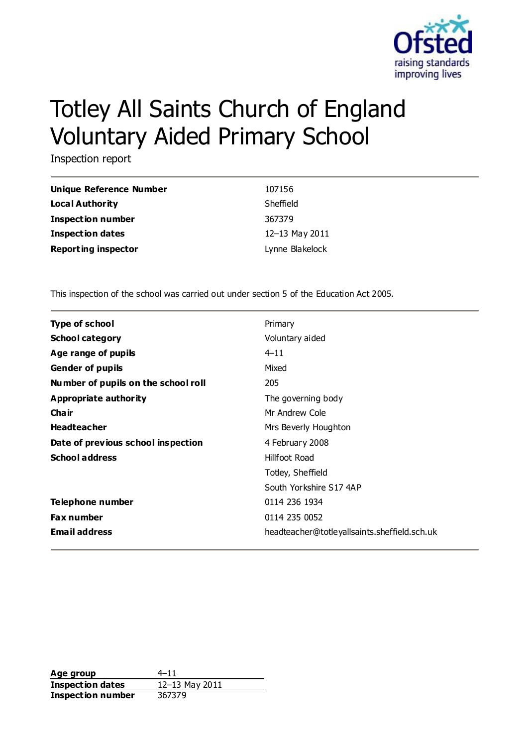

# Totley All Saints Church of England Voluntary Aided Primary School

Inspection report

| Unique Reference Number    | 107156          |
|----------------------------|-----------------|
| Local Authority            | Sheffield       |
| <b>Inspection number</b>   | 367379          |
| Inspection dates           | 12-13 May 2011  |
| <b>Reporting inspector</b> | Lynne Blakelock |

This inspection of the school was carried out under section 5 of the Education Act 2005.

| <b>Type of school</b>               | Primary                                      |
|-------------------------------------|----------------------------------------------|
| <b>School category</b>              | Voluntary aided                              |
| Age range of pupils                 | $4 - 11$                                     |
| <b>Gender of pupils</b>             | Mixed                                        |
| Number of pupils on the school roll | 205                                          |
| Appropriate authority               | The governing body                           |
| Cha ir                              | Mr Andrew Cole                               |
| <b>Headteacher</b>                  | Mrs Beverly Houghton                         |
| Date of previous school inspection  | 4 February 2008                              |
| <b>School address</b>               | Hillfoot Road                                |
|                                     | Totley, Sheffield                            |
|                                     | South Yorkshire S174AP                       |
| Telephone number                    | 0114 236 1934                                |
| <b>Fax number</b>                   | 0114 235 0052                                |
| <b>Email address</b>                | headteacher@totleyallsaints.sheffield.sch.uk |

Age group  $4-11$ **Inspection dates** 12–13 May 2011 **Inspection number** 367379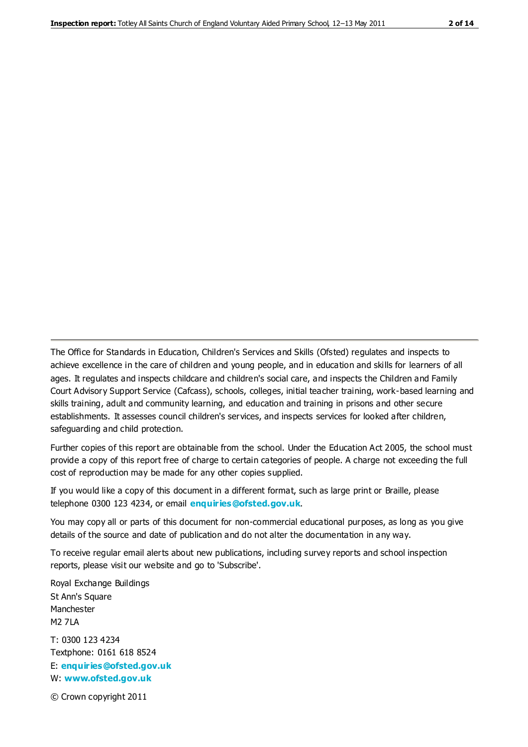The Office for Standards in Education, Children's Services and Skills (Ofsted) regulates and inspects to achieve excellence in the care of children and young people, and in education and skills for learners of all ages. It regulates and inspects childcare and children's social care, and inspects the Children and Family Court Advisory Support Service (Cafcass), schools, colleges, initial teacher training, work-based learning and skills training, adult and community learning, and education and training in prisons and other secure establishments. It assesses council children's services, and inspects services for looked after children, safeguarding and child protection.

Further copies of this report are obtainable from the school. Under the Education Act 2005, the school must provide a copy of this report free of charge to certain categories of people. A charge not exceeding the full cost of reproduction may be made for any other copies supplied.

If you would like a copy of this document in a different format, such as large print or Braille, please telephone 0300 123 4234, or email **[enquiries@ofsted.gov.uk](mailto:enquiries@ofsted.gov.uk)**.

You may copy all or parts of this document for non-commercial educational purposes, as long as you give details of the source and date of publication and do not alter the documentation in any way.

To receive regular email alerts about new publications, including survey reports and school inspection reports, please visit our website and go to 'Subscribe'.

Royal Exchange Buildings St Ann's Square Manchester M2 7LA T: 0300 123 4234 Textphone: 0161 618 8524 E: **[enquiries@ofsted.gov.uk](mailto:enquiries@ofsted.gov.uk)**

W: **[www.ofsted.gov.uk](http://www.ofsted.gov.uk/)**

© Crown copyright 2011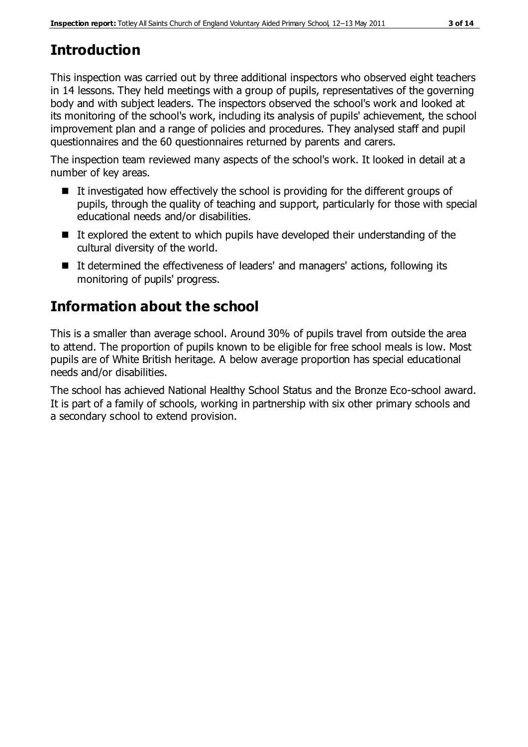# **Introduction**

This inspection was carried out by three additional inspectors who observed eight teachers in 14 lessons. They held meetings with a group of pupils, representatives of the governing body and with subject leaders. The inspectors observed the school's work and looked at its monitoring of the school's work, including its analysis of pupils' achievement, the school improvement plan and a range of policies and procedures. They analysed staff and pupil questionnaires and the 60 questionnaires returned by parents and carers.

The inspection team reviewed many aspects of the school's work. It looked in detail at a number of key areas.

- $\blacksquare$  It investigated how effectively the school is providing for the different groups of pupils, through the quality of teaching and support, particularly for those with special educational needs and/or disabilities.
- $\blacksquare$  It explored the extent to which pupils have developed their understanding of the cultural diversity of the world.
- It determined the effectiveness of leaders' and managers' actions, following its monitoring of pupils' progress.

# **Information about the school**

This is a smaller than average school. Around 30% of pupils travel from outside the area to attend. The proportion of pupils known to be eligible for free school meals is low. Most pupils are of White British heritage. A below average proportion has special educational needs and/or disabilities.

The school has achieved National Healthy School Status and the Bronze Eco-school award. It is part of a family of schools, working in partnership with six other primary schools and a secondary school to extend provision.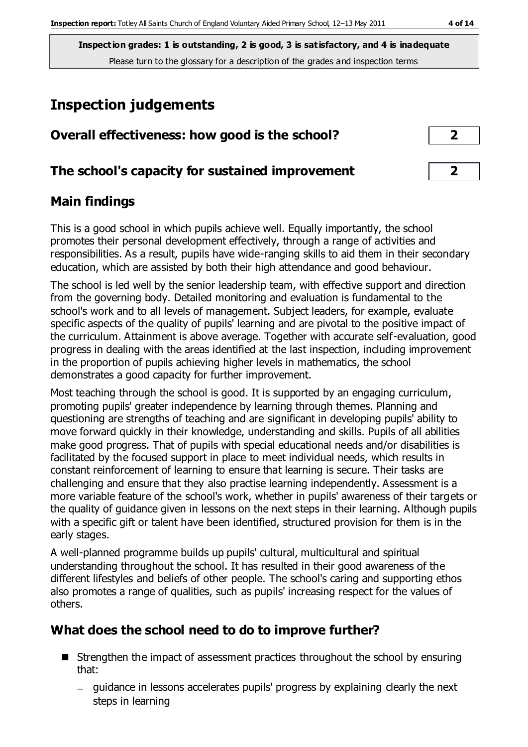**Inspection grades: 1 is outstanding, 2 is good, 3 is satisfactory, and 4 is inadequate** Please turn to the glossary for a description of the grades and inspection terms

# **Inspection judgements**

| Overall effectiveness: how good is the school?  |                         |
|-------------------------------------------------|-------------------------|
| The school's capacity for sustained improvement | $\overline{\mathbf{2}}$ |

### **Main findings**

This is a good school in which pupils achieve well. Equally importantly, the school promotes their personal development effectively, through a range of activities and responsibilities. As a result, pupils have wide-ranging skills to aid them in their secondary education, which are assisted by both their high attendance and good behaviour.

The school is led well by the senior leadership team, with effective support and direction from the governing body. Detailed monitoring and evaluation is fundamental to the school's work and to all levels of management. Subject leaders, for example, evaluate specific aspects of the quality of pupils' learning and are pivotal to the positive impact of the curriculum. Attainment is above average. Together with accurate self-evaluation, good progress in dealing with the areas identified at the last inspection, including improvement in the proportion of pupils achieving higher levels in mathematics, the school demonstrates a good capacity for further improvement.

Most teaching through the school is good. It is supported by an engaging curriculum, promoting pupils' greater independence by learning through themes. Planning and questioning are strengths of teaching and are significant in developing pupils' ability to move forward quickly in their knowledge, understanding and skills. Pupils of all abilities make good progress. That of pupils with special educational needs and/or disabilities is facilitated by the focused support in place to meet individual needs, which results in constant reinforcement of learning to ensure that learning is secure. Their tasks are challenging and ensure that they also practise learning independently. Assessment is a more variable feature of the school's work, whether in pupils' awareness of their targets or the quality of guidance given in lessons on the next steps in their learning. Although pupils with a specific gift or talent have been identified, structured provision for them is in the early stages.

A well-planned programme builds up pupils' cultural, multicultural and spiritual understanding throughout the school. It has resulted in their good awareness of the different lifestyles and beliefs of other people. The school's caring and supporting ethos also promotes a range of qualities, such as pupils' increasing respect for the values of others.

## **What does the school need to do to improve further?**

- Strengthen the impact of assessment practices throughout the school by ensuring that:
	- guidance in lessons accelerates pupils' progress by explaining clearly the next steps in learning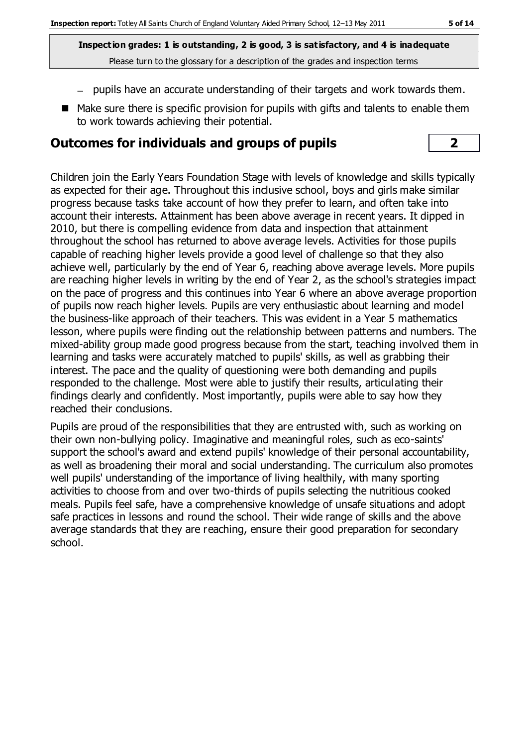**Inspection grades: 1 is outstanding, 2 is good, 3 is satisfactory, and 4 is inadequate** Please turn to the glossary for a description of the grades and inspection terms

- pupils have an accurate understanding of their targets and work towards them.
- Make sure there is specific provision for pupils with gifts and talents to enable them to work towards achieving their potential.

### **Outcomes for individuals and groups of pupils 2**

Children join the Early Years Foundation Stage with levels of knowledge and skills typically as expected for their age. Throughout this inclusive school, boys and girls make similar progress because tasks take account of how they prefer to learn, and often take into account their interests. Attainment has been above average in recent years. It dipped in 2010, but there is compelling evidence from data and inspection that attainment throughout the school has returned to above average levels. Activities for those pupils capable of reaching higher levels provide a good level of challenge so that they also achieve well, particularly by the end of Year 6, reaching above average levels. More pupils are reaching higher levels in writing by the end of Year 2, as the school's strategies impact on the pace of progress and this continues into Year 6 where an above average proportion of pupils now reach higher levels. Pupils are very enthusiastic about learning and model the business-like approach of their teachers. This was evident in a Year 5 mathematics lesson, where pupils were finding out the relationship between patterns and numbers. The mixed-ability group made good progress because from the start, teaching involved them in learning and tasks were accurately matched to pupils' skills, as well as grabbing their interest. The pace and the quality of questioning were both demanding and pupils responded to the challenge. Most were able to justify their results, articulating their findings clearly and confidently. Most importantly, pupils were able to say how they reached their conclusions.

Pupils are proud of the responsibilities that they are entrusted with, such as working on their own non-bullying policy. Imaginative and meaningful roles, such as eco-saints' support the school's award and extend pupils' knowledge of their personal accountability, as well as broadening their moral and social understanding. The curriculum also promotes well pupils' understanding of the importance of living healthily, with many sporting activities to choose from and over two-thirds of pupils selecting the nutritious cooked meals. Pupils feel safe, have a comprehensive knowledge of unsafe situations and adopt safe practices in lessons and round the school. Their wide range of skills and the above average standards that they are reaching, ensure their good preparation for secondary school.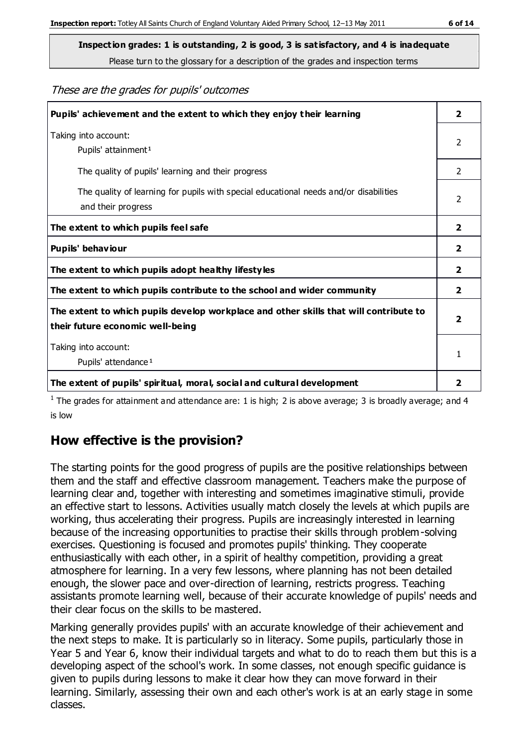These are the grades for pupils' outcomes

| Pupils' achievement and the extent to which they enjoy their learning                                                     | $\overline{2}$ |
|---------------------------------------------------------------------------------------------------------------------------|----------------|
| Taking into account:<br>Pupils' attainment <sup>1</sup>                                                                   | $\overline{2}$ |
| The quality of pupils' learning and their progress                                                                        | $\mathcal{P}$  |
| The quality of learning for pupils with special educational needs and/or disabilities<br>and their progress               | 2              |
| The extent to which pupils feel safe                                                                                      | $\mathbf{2}$   |
| Pupils' behaviour                                                                                                         | $\mathbf{2}$   |
| The extent to which pupils adopt healthy lifestyles                                                                       | 2              |
| The extent to which pupils contribute to the school and wider community                                                   | 2              |
| The extent to which pupils develop workplace and other skills that will contribute to<br>their future economic well-being |                |
| Taking into account:<br>Pupils' attendance <sup>1</sup>                                                                   | 1              |
| The extent of pupils' spiritual, moral, social and cultural development                                                   | 2              |

<sup>1</sup> The grades for attainment and attendance are: 1 is high; 2 is above average; 3 is broadly average; and 4 is low

## **How effective is the provision?**

The starting points for the good progress of pupils are the positive relationships between them and the staff and effective classroom management. Teachers make the purpose of learning clear and, together with interesting and sometimes imaginative stimuli, provide an effective start to lessons. Activities usually match closely the levels at which pupils are working, thus accelerating their progress. Pupils are increasingly interested in learning because of the increasing opportunities to practise their skills through problem-solving exercises. Questioning is focused and promotes pupils' thinking. They cooperate enthusiastically with each other, in a spirit of healthy competition, providing a great atmosphere for learning. In a very few lessons, where planning has not been detailed enough, the slower pace and over-direction of learning, restricts progress. Teaching assistants promote learning well, because of their accurate knowledge of pupils' needs and their clear focus on the skills to be mastered.

Marking generally provides pupils' with an accurate knowledge of their achievement and the next steps to make. It is particularly so in literacy. Some pupils, particularly those in Year 5 and Year 6, know their individual targets and what to do to reach them but this is a developing aspect of the school's work. In some classes, not enough specific guidance is given to pupils during lessons to make it clear how they can move forward in their learning. Similarly, assessing their own and each other's work is at an early stage in some classes.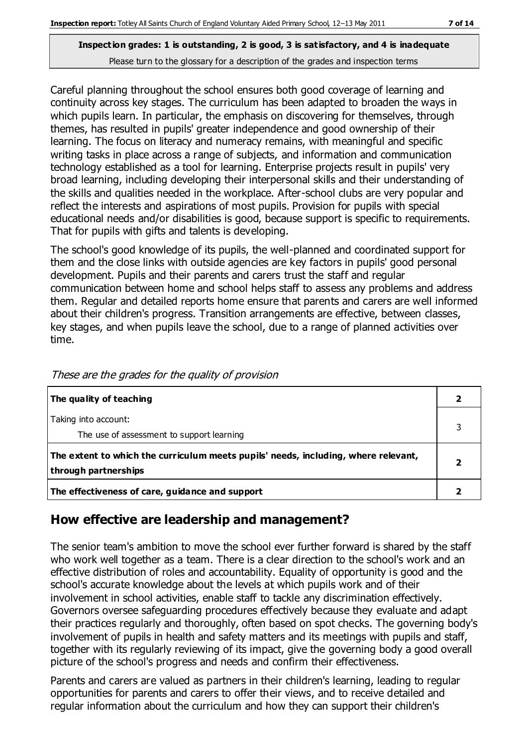Careful planning throughout the school ensures both good coverage of learning and continuity across key stages. The curriculum has been adapted to broaden the ways in which pupils learn. In particular, the emphasis on discovering for themselves, through themes, has resulted in pupils' greater independence and good ownership of their learning. The focus on literacy and numeracy remains, with meaningful and specific writing tasks in place across a range of subjects, and information and communication technology established as a tool for learning. Enterprise projects result in pupils' very broad learning, including developing their interpersonal skills and their understanding of the skills and qualities needed in the workplace. After-school clubs are very popular and reflect the interests and aspirations of most pupils. Provision for pupils with special educational needs and/or disabilities is good, because support is specific to requirements. That for pupils with gifts and talents is developing.

The school's good knowledge of its pupils, the well-planned and coordinated support for them and the close links with outside agencies are key factors in pupils' good personal development. Pupils and their parents and carers trust the staff and regular communication between home and school helps staff to assess any problems and address them. Regular and detailed reports home ensure that parents and carers are well informed about their children's progress. Transition arrangements are effective, between classes, key stages, and when pupils leave the school, due to a range of planned activities over time.

| The quality of teaching                                                                                    |  |
|------------------------------------------------------------------------------------------------------------|--|
| Taking into account:<br>The use of assessment to support learning                                          |  |
| The extent to which the curriculum meets pupils' needs, including, where relevant,<br>through partnerships |  |
| The effectiveness of care, guidance and support                                                            |  |

These are the grades for the quality of provision

## **How effective are leadership and management?**

The senior team's ambition to move the school ever further forward is shared by the staff who work well together as a team. There is a clear direction to the school's work and an effective distribution of roles and accountability. Equality of opportunity is good and the school's accurate knowledge about the levels at which pupils work and of their involvement in school activities, enable staff to tackle any discrimination effectively. Governors oversee safeguarding procedures effectively because they evaluate and adapt their practices regularly and thoroughly, often based on spot checks. The governing body's involvement of pupils in health and safety matters and its meetings with pupils and staff, together with its regularly reviewing of its impact, give the governing body a good overall picture of the school's progress and needs and confirm their effectiveness.

Parents and carers are valued as partners in their children's learning, leading to regular opportunities for parents and carers to offer their views, and to receive detailed and regular information about the curriculum and how they can support their children's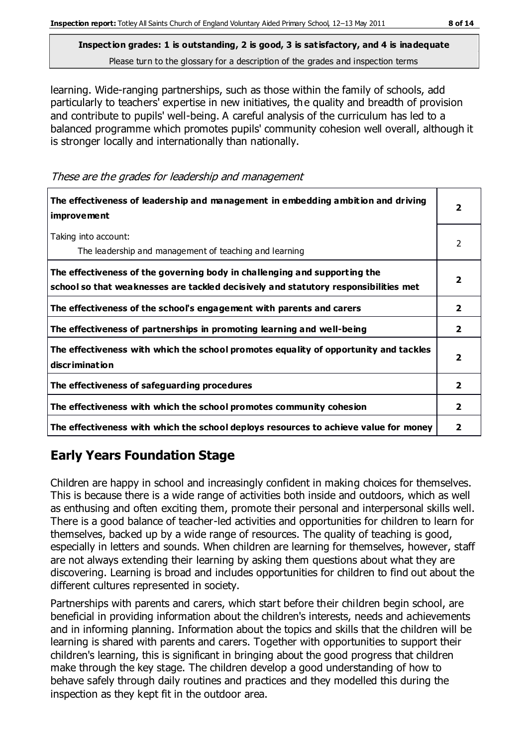learning. Wide-ranging partnerships, such as those within the family of schools, add particularly to teachers' expertise in new initiatives, the quality and breadth of provision and contribute to pupils' well-being. A careful analysis of the curriculum has led to a balanced programme which promotes pupils' community cohesion well overall, although it is stronger locally and internationally than nationally.

These are the grades for leadership and management

| The effectiveness of leadership and management in embedding ambition and driving<br><b>improvement</b>                                                           |                         |
|------------------------------------------------------------------------------------------------------------------------------------------------------------------|-------------------------|
| Taking into account:<br>The leadership and management of teaching and learning                                                                                   | 2                       |
| The effectiveness of the governing body in challenging and supporting the<br>school so that weaknesses are tackled decisively and statutory responsibilities met | $\overline{\mathbf{2}}$ |
| The effectiveness of the school's engagement with parents and carers                                                                                             | 2                       |
| The effectiveness of partnerships in promoting learning and well-being                                                                                           | 2                       |
| The effectiveness with which the school promotes equality of opportunity and tackles<br><b>discrimination</b>                                                    | $\overline{\mathbf{2}}$ |
| The effectiveness of safeguarding procedures                                                                                                                     | $\overline{2}$          |
| The effectiveness with which the school promotes community cohesion                                                                                              | $\overline{2}$          |
| The effectiveness with which the school deploys resources to achieve value for money                                                                             | 2                       |

## **Early Years Foundation Stage**

Children are happy in school and increasingly confident in making choices for themselves. This is because there is a wide range of activities both inside and outdoors, which as well as enthusing and often exciting them, promote their personal and interpersonal skills well. There is a good balance of teacher-led activities and opportunities for children to learn for themselves, backed up by a wide range of resources. The quality of teaching is good, especially in letters and sounds. When children are learning for themselves, however, staff are not always extending their learning by asking them questions about what they are discovering. Learning is broad and includes opportunities for children to find out about the different cultures represented in society.

Partnerships with parents and carers, which start before their children begin school, are beneficial in providing information about the children's interests, needs and achievements and in informing planning. Information about the topics and skills that the children will be learning is shared with parents and carers. Together with opportunities to support their children's learning, this is significant in bringing about the good progress that children make through the key stage. The children develop a good understanding of how to behave safely through daily routines and practices and they modelled this during the inspection as they kept fit in the outdoor area.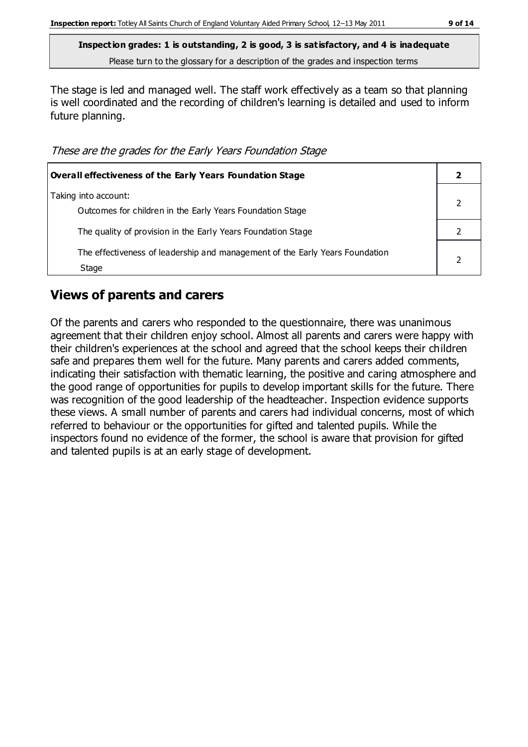**Inspection grades: 1 is outstanding, 2 is good, 3 is satisfactory, and 4 is inadequate** Please turn to the glossary for a description of the grades and inspection terms

The stage is led and managed well. The staff work effectively as a team so that planning is well coordinated and the recording of children's learning is detailed and used to inform future planning.

These are the grades for the Early Years Foundation Stage

| <b>Overall effectiveness of the Early Years Foundation Stage</b>                      |  |
|---------------------------------------------------------------------------------------|--|
| Taking into account:<br>Outcomes for children in the Early Years Foundation Stage     |  |
| The quality of provision in the Early Years Foundation Stage                          |  |
| The effectiveness of leadership and management of the Early Years Foundation<br>Stage |  |

#### **Views of parents and carers**

Of the parents and carers who responded to the questionnaire, there was unanimous agreement that their children enjoy school. Almost all parents and carers were happy with their children's experiences at the school and agreed that the school keeps their children safe and prepares them well for the future. Many parents and carers added comments, indicating their satisfaction with thematic learning, the positive and caring atmosphere and the good range of opportunities for pupils to develop important skills for the future. There was recognition of the good leadership of the headteacher. Inspection evidence supports these views. A small number of parents and carers had individual concerns, most of which referred to behaviour or the opportunities for gifted and talented pupils. While the inspectors found no evidence of the former, the school is aware that provision for gifted and talented pupils is at an early stage of development.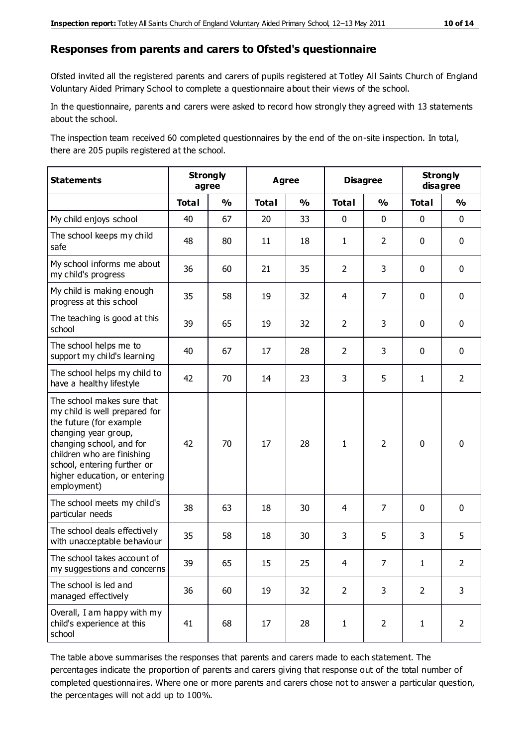#### **Responses from parents and carers to Ofsted's questionnaire**

Ofsted invited all the registered parents and carers of pupils registered at Totley All Saints Church of England Voluntary Aided Primary School to complete a questionnaire about their views of the school.

In the questionnaire, parents and carers were asked to record how strongly they agreed with 13 statements about the school.

The inspection team received 60 completed questionnaires by the end of the on-site inspection. In total, there are 205 pupils registered at the school.

| <b>Statements</b>                                                                                                                                                                                                                                       |              | <b>Strongly</b><br>agree |              | <b>Disagree</b><br><b>Agree</b> |                | <b>Strongly</b><br>disagree |                |                |
|---------------------------------------------------------------------------------------------------------------------------------------------------------------------------------------------------------------------------------------------------------|--------------|--------------------------|--------------|---------------------------------|----------------|-----------------------------|----------------|----------------|
|                                                                                                                                                                                                                                                         | <b>Total</b> | $\frac{1}{2}$            | <b>Total</b> | $\frac{1}{2}$                   | <b>Total</b>   | $\frac{1}{2}$               | <b>Total</b>   | $\frac{1}{2}$  |
| My child enjoys school                                                                                                                                                                                                                                  | 40           | 67                       | 20           | 33                              | 0              | $\mathbf 0$                 | $\mathbf 0$    | $\mathbf 0$    |
| The school keeps my child<br>safe                                                                                                                                                                                                                       | 48           | 80                       | 11           | 18                              | $\mathbf{1}$   | $\overline{2}$              | $\mathbf 0$    | $\mathbf 0$    |
| My school informs me about<br>my child's progress                                                                                                                                                                                                       | 36           | 60                       | 21           | 35                              | $\overline{2}$ | 3                           | $\mathbf 0$    | $\mathbf 0$    |
| My child is making enough<br>progress at this school                                                                                                                                                                                                    | 35           | 58                       | 19           | 32                              | $\overline{4}$ | $\overline{7}$              | $\mathbf 0$    | $\mathbf 0$    |
| The teaching is good at this<br>school                                                                                                                                                                                                                  | 39           | 65                       | 19           | 32                              | $\overline{2}$ | 3                           | $\mathbf 0$    | $\mathbf 0$    |
| The school helps me to<br>support my child's learning                                                                                                                                                                                                   | 40           | 67                       | 17           | 28                              | $\overline{2}$ | 3                           | $\mathbf 0$    | $\mathbf 0$    |
| The school helps my child to<br>have a healthy lifestyle                                                                                                                                                                                                | 42           | 70                       | 14           | 23                              | 3              | 5                           | $\mathbf{1}$   | $\overline{2}$ |
| The school makes sure that<br>my child is well prepared for<br>the future (for example<br>changing year group,<br>changing school, and for<br>children who are finishing<br>school, entering further or<br>higher education, or entering<br>employment) | 42           | 70                       | 17           | 28                              | $\mathbf{1}$   | $\overline{2}$              | $\mathbf 0$    | $\mathbf 0$    |
| The school meets my child's<br>particular needs                                                                                                                                                                                                         | 38           | 63                       | 18           | 30                              | 4              | $\overline{7}$              | $\mathbf 0$    | $\mathbf 0$    |
| The school deals effectively<br>with unacceptable behaviour                                                                                                                                                                                             | 35           | 58                       | 18           | 30                              | 3              | 5                           | 3              | 5              |
| The school takes account of<br>my suggestions and concerns                                                                                                                                                                                              | 39           | 65                       | 15           | 25                              | 4              | 7                           | 1              | $\mathcal{P}$  |
| The school is led and<br>managed effectively                                                                                                                                                                                                            | 36           | 60                       | 19           | 32                              | $\overline{2}$ | 3                           | $\overline{2}$ | 3              |
| Overall, I am happy with my<br>child's experience at this<br>school                                                                                                                                                                                     | 41           | 68                       | 17           | 28                              | $\mathbf{1}$   | $\overline{2}$              | $\mathbf{1}$   | $\overline{2}$ |

The table above summarises the responses that parents and carers made to each statement. The percentages indicate the proportion of parents and carers giving that response out of the total number of completed questionnaires. Where one or more parents and carers chose not to answer a particular question, the percentages will not add up to 100%.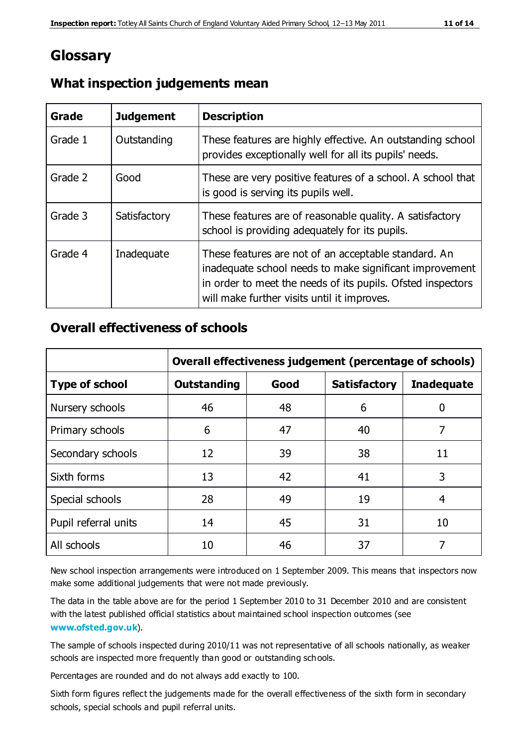## **Glossary**

| Grade   | <b>Judgement</b> | <b>Description</b>                                                                                                                                                                                                            |
|---------|------------------|-------------------------------------------------------------------------------------------------------------------------------------------------------------------------------------------------------------------------------|
| Grade 1 | Outstanding      | These features are highly effective. An outstanding school<br>provides exceptionally well for all its pupils' needs.                                                                                                          |
| Grade 2 | Good             | These are very positive features of a school. A school that<br>is good is serving its pupils well.                                                                                                                            |
| Grade 3 | Satisfactory     | These features are of reasonable quality. A satisfactory<br>school is providing adequately for its pupils.                                                                                                                    |
| Grade 4 | Inadequate       | These features are not of an acceptable standard. An<br>inadequate school needs to make significant improvement<br>in order to meet the needs of its pupils. Ofsted inspectors<br>will make further visits until it improves. |

#### **What inspection judgements mean**

#### **Overall effectiveness of schools**

|                       | Overall effectiveness judgement (percentage of schools) |      |                     |                   |
|-----------------------|---------------------------------------------------------|------|---------------------|-------------------|
| <b>Type of school</b> | <b>Outstanding</b>                                      | Good | <b>Satisfactory</b> | <b>Inadequate</b> |
| Nursery schools       | 46                                                      | 48   | 6                   |                   |
| Primary schools       | 6                                                       | 47   | 40                  | 7                 |
| Secondary schools     | 12                                                      | 39   | 38                  | 11                |
| Sixth forms           | 13                                                      | 42   | 41                  | 3                 |
| Special schools       | 28                                                      | 49   | 19                  | 4                 |
| Pupil referral units  | 14                                                      | 45   | 31                  | 10                |
| All schools           | 10                                                      | 46   | 37                  |                   |

New school inspection arrangements were introduced on 1 September 2009. This means that inspectors now make some additional judgements that were not made previously.

The data in the table above are for the period 1 September 2010 to 31 December 2010 and are consistent with the latest published official statistics about maintained school inspection outcomes (see **[www.ofsted.gov.uk](http://www.ofsted.gov.uk/)**).

The sample of schools inspected during 2010/11 was not representative of all schools nationally, as weaker schools are inspected more frequently than good or outstanding schools.

Percentages are rounded and do not always add exactly to 100.

Sixth form figures reflect the judgements made for the overall effectiveness of the sixth form in secondary schools, special schools and pupil referral units.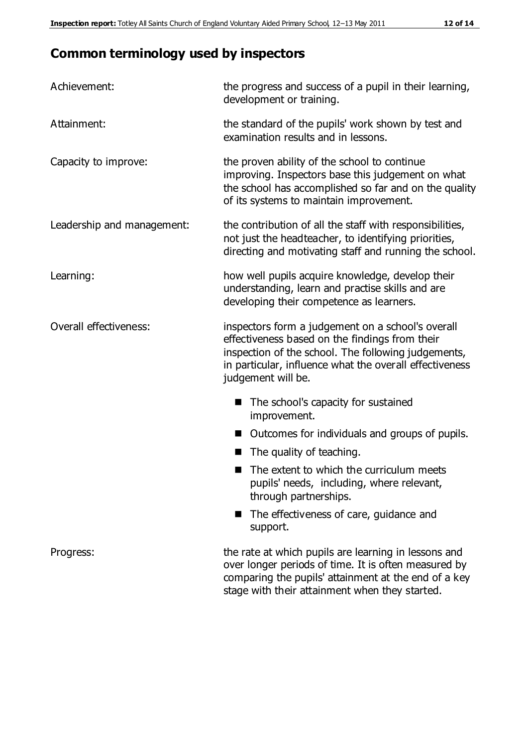## **Common terminology used by inspectors**

| Achievement:               | the progress and success of a pupil in their learning,<br>development or training.                                                                                                                                                          |  |  |
|----------------------------|---------------------------------------------------------------------------------------------------------------------------------------------------------------------------------------------------------------------------------------------|--|--|
| Attainment:                | the standard of the pupils' work shown by test and<br>examination results and in lessons.                                                                                                                                                   |  |  |
| Capacity to improve:       | the proven ability of the school to continue<br>improving. Inspectors base this judgement on what<br>the school has accomplished so far and on the quality<br>of its systems to maintain improvement.                                       |  |  |
| Leadership and management: | the contribution of all the staff with responsibilities,<br>not just the headteacher, to identifying priorities,<br>directing and motivating staff and running the school.                                                                  |  |  |
| Learning:                  | how well pupils acquire knowledge, develop their<br>understanding, learn and practise skills and are<br>developing their competence as learners.                                                                                            |  |  |
| Overall effectiveness:     | inspectors form a judgement on a school's overall<br>effectiveness based on the findings from their<br>inspection of the school. The following judgements,<br>in particular, influence what the overall effectiveness<br>judgement will be. |  |  |
|                            | The school's capacity for sustained<br>improvement.                                                                                                                                                                                         |  |  |
|                            | Outcomes for individuals and groups of pupils.                                                                                                                                                                                              |  |  |
|                            | The quality of teaching.                                                                                                                                                                                                                    |  |  |
|                            | The extent to which the curriculum meets<br>pupils' needs, including, where relevant,<br>through partnerships.                                                                                                                              |  |  |
|                            | The effectiveness of care, guidance and<br>support.                                                                                                                                                                                         |  |  |
| Progress:                  | the rate at which pupils are learning in lessons and<br>over longer periods of time. It is often measured by<br>comparing the pupils' attainment at the end of a key                                                                        |  |  |

stage with their attainment when they started.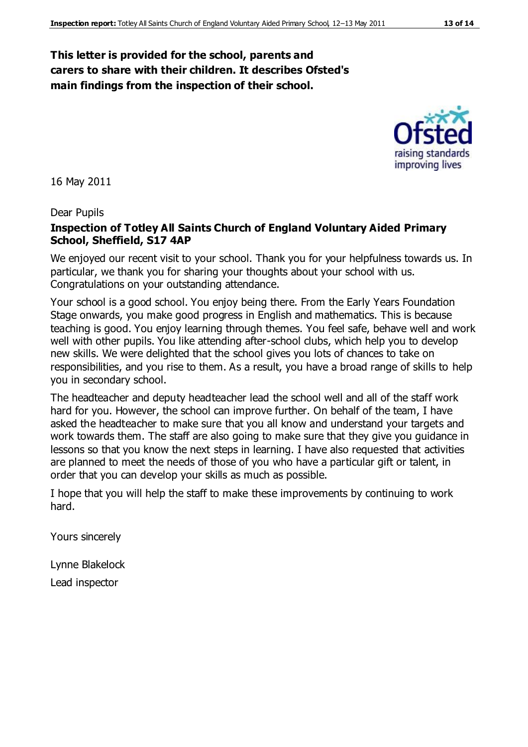#### **This letter is provided for the school, parents and carers to share with their children. It describes Ofsted's main findings from the inspection of their school.**

16 May 2011

Dear Pupils

#### **Inspection of Totley All Saints Church of England Voluntary Aided Primary School, Sheffield, S17 4AP**

We enjoyed our recent visit to your school. Thank you for your helpfulness towards us. In particular, we thank you for sharing your thoughts about your school with us. Congratulations on your outstanding attendance.

Your school is a good school. You enjoy being there. From the Early Years Foundation Stage onwards, you make good progress in English and mathematics. This is because teaching is good. You enjoy learning through themes. You feel safe, behave well and work well with other pupils. You like attending after-school clubs, which help you to develop new skills. We were delighted that the school gives you lots of chances to take on responsibilities, and you rise to them. As a result, you have a broad range of skills to help you in secondary school.

The headteacher and deputy headteacher lead the school well and all of the staff work hard for you. However, the school can improve further. On behalf of the team, I have asked the headteacher to make sure that you all know and understand your targets and work towards them. The staff are also going to make sure that they give you guidance in lessons so that you know the next steps in learning. I have also requested that activities are planned to meet the needs of those of you who have a particular gift or talent, in order that you can develop your skills as much as possible.

I hope that you will help the staff to make these improvements by continuing to work hard.

Yours sincerely

Lynne Blakelock

Lead inspector